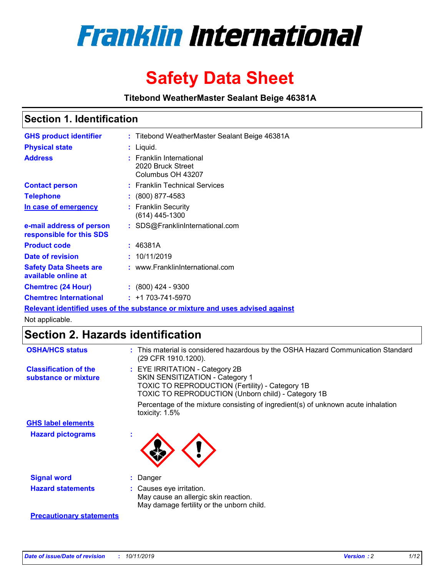

# **Safety Data Sheet**

**Titebond WeatherMaster Sealant Beige 46381A**

### **Section 1. Identification**

| <b>GHS product identifier</b>                        | : Titebond WeatherMaster Sealant Beige 46381A                                 |
|------------------------------------------------------|-------------------------------------------------------------------------------|
| <b>Physical state</b>                                | : Liquid.                                                                     |
| <b>Address</b>                                       | : Franklin International<br>2020 Bruck Street<br>Columbus OH 43207            |
| <b>Contact person</b>                                | : Franklin Technical Services                                                 |
| <b>Telephone</b>                                     | : (800) 877-4583                                                              |
| In case of emergency                                 | : Franklin Security<br>$(614)$ 445-1300                                       |
| e-mail address of person<br>responsible for this SDS | : SDS@FranklinInternational.com                                               |
| <b>Product code</b>                                  | : 46381A                                                                      |
| Date of revision                                     | : 10/11/2019                                                                  |
| <b>Safety Data Sheets are</b><br>available online at | : www.FranklinInternational.com                                               |
| <b>Chemtrec (24 Hour)</b>                            | $\div$ (800) 424 - 9300                                                       |
| <b>Chemtrec International</b>                        | $: +1703 - 741 - 5970$                                                        |
|                                                      | Relevant identified uses of the substance or mixture and uses advised against |

Not applicable.

## **Section 2. Hazards identification**

| <b>OSHA/HCS status</b>                               | : This material is considered hazardous by the OSHA Hazard Communication Standard<br>(29 CFR 1910.1200).                                                                                 |
|------------------------------------------------------|------------------------------------------------------------------------------------------------------------------------------------------------------------------------------------------|
| <b>Classification of the</b><br>substance or mixture | : EYE IRRITATION - Category 2B<br>SKIN SENSITIZATION - Category 1<br><b>TOXIC TO REPRODUCTION (Fertility) - Category 1B</b><br><b>TOXIC TO REPRODUCTION (Unborn child) - Category 1B</b> |
|                                                      | Percentage of the mixture consisting of ingredient(s) of unknown acute inhalation<br>toxicity: $1.5\%$                                                                                   |
| <b>GHS label elements</b>                            |                                                                                                                                                                                          |
| <b>Hazard pictograms</b>                             |                                                                                                                                                                                          |
| <b>Signal word</b>                                   | : Danger                                                                                                                                                                                 |
| <b>Hazard statements</b>                             | : Causes eye irritation.<br>May cause an allergic skin reaction.<br>May damage fertility or the unborn child.                                                                            |
| <b>Precautionary statements</b>                      |                                                                                                                                                                                          |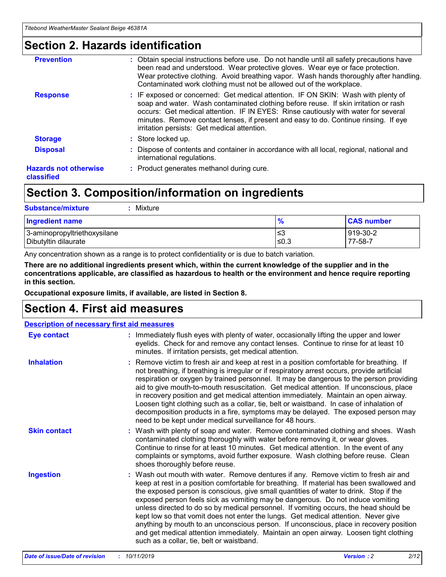### **Section 2. Hazards identification**

| <b>Prevention</b>                          | : Obtain special instructions before use. Do not handle until all safety precautions have<br>been read and understood. Wear protective gloves. Wear eye or face protection.<br>Wear protective clothing. Avoid breathing vapor. Wash hands thoroughly after handling.<br>Contaminated work clothing must not be allowed out of the workplace.                                                        |
|--------------------------------------------|------------------------------------------------------------------------------------------------------------------------------------------------------------------------------------------------------------------------------------------------------------------------------------------------------------------------------------------------------------------------------------------------------|
| <b>Response</b>                            | : IF exposed or concerned: Get medical attention. IF ON SKIN: Wash with plenty of<br>soap and water. Wash contaminated clothing before reuse. If skin irritation or rash<br>occurs: Get medical attention. IF IN EYES: Rinse cautiously with water for several<br>minutes. Remove contact lenses, if present and easy to do. Continue rinsing. If eye<br>irritation persists: Get medical attention. |
| <b>Storage</b>                             | : Store locked up.                                                                                                                                                                                                                                                                                                                                                                                   |
| <b>Disposal</b>                            | : Dispose of contents and container in accordance with all local, regional, national and<br>international regulations.                                                                                                                                                                                                                                                                               |
| <b>Hazards not otherwise</b><br>classified | : Product generates methanol during cure.                                                                                                                                                                                                                                                                                                                                                            |
|                                            |                                                                                                                                                                                                                                                                                                                                                                                                      |

### **Section 3. Composition/information on ingredients**

| <b>Substance/mixture</b><br>Mixture                  |                   |                     |
|------------------------------------------------------|-------------------|---------------------|
| Ingredient name                                      | $\frac{9}{6}$     | <b>CAS number</b>   |
| 3-aminopropyltriethoxysilane<br>Dibutyltin dilaurate | l≤3<br>$\leq 0.3$ | 919-30-2<br>77-58-7 |

Any concentration shown as a range is to protect confidentiality or is due to batch variation.

**There are no additional ingredients present which, within the current knowledge of the supplier and in the concentrations applicable, are classified as hazardous to health or the environment and hence require reporting in this section.**

**Occupational exposure limits, if available, are listed in Section 8.**

### **Section 4. First aid measures**

| <b>Description of necessary first aid measures</b> |                                                                                                                                                                                                                                                                                                                                                                                                                                                                                                                                                                                                                                                                                                                                                                           |  |  |  |
|----------------------------------------------------|---------------------------------------------------------------------------------------------------------------------------------------------------------------------------------------------------------------------------------------------------------------------------------------------------------------------------------------------------------------------------------------------------------------------------------------------------------------------------------------------------------------------------------------------------------------------------------------------------------------------------------------------------------------------------------------------------------------------------------------------------------------------------|--|--|--|
| <b>Eye contact</b>                                 | : Immediately flush eyes with plenty of water, occasionally lifting the upper and lower<br>eyelids. Check for and remove any contact lenses. Continue to rinse for at least 10<br>minutes. If irritation persists, get medical attention.                                                                                                                                                                                                                                                                                                                                                                                                                                                                                                                                 |  |  |  |
| <b>Inhalation</b>                                  | : Remove victim to fresh air and keep at rest in a position comfortable for breathing. If<br>not breathing, if breathing is irregular or if respiratory arrest occurs, provide artificial<br>respiration or oxygen by trained personnel. It may be dangerous to the person providing<br>aid to give mouth-to-mouth resuscitation. Get medical attention. If unconscious, place<br>in recovery position and get medical attention immediately. Maintain an open airway.<br>Loosen tight clothing such as a collar, tie, belt or waistband. In case of inhalation of<br>decomposition products in a fire, symptoms may be delayed. The exposed person may<br>need to be kept under medical surveillance for 48 hours.                                                       |  |  |  |
| <b>Skin contact</b>                                | : Wash with plenty of soap and water. Remove contaminated clothing and shoes. Wash<br>contaminated clothing thoroughly with water before removing it, or wear gloves.<br>Continue to rinse for at least 10 minutes. Get medical attention. In the event of any<br>complaints or symptoms, avoid further exposure. Wash clothing before reuse. Clean<br>shoes thoroughly before reuse.                                                                                                                                                                                                                                                                                                                                                                                     |  |  |  |
| <b>Ingestion</b>                                   | : Wash out mouth with water. Remove dentures if any. Remove victim to fresh air and<br>keep at rest in a position comfortable for breathing. If material has been swallowed and<br>the exposed person is conscious, give small quantities of water to drink. Stop if the<br>exposed person feels sick as vomiting may be dangerous. Do not induce vomiting<br>unless directed to do so by medical personnel. If vomiting occurs, the head should be<br>kept low so that vomit does not enter the lungs. Get medical attention. Never give<br>anything by mouth to an unconscious person. If unconscious, place in recovery position<br>and get medical attention immediately. Maintain an open airway. Loosen tight clothing<br>such as a collar, tie, belt or waistband. |  |  |  |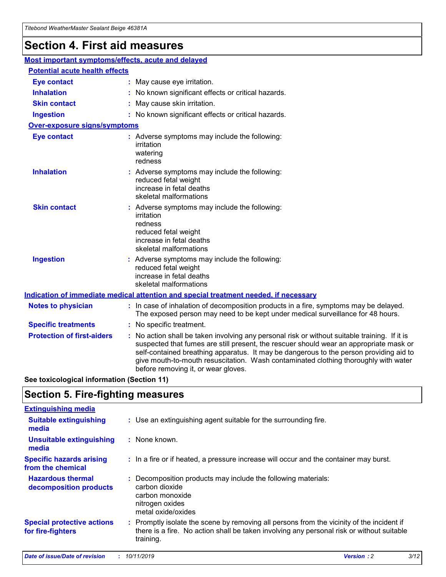## **Section 4. First aid measures**

| Most important symptoms/effects, acute and delayed |  |                                                                                                                                                                                                                                                                                                                                                                                                                 |  |  |
|----------------------------------------------------|--|-----------------------------------------------------------------------------------------------------------------------------------------------------------------------------------------------------------------------------------------------------------------------------------------------------------------------------------------------------------------------------------------------------------------|--|--|
| <b>Potential acute health effects</b>              |  |                                                                                                                                                                                                                                                                                                                                                                                                                 |  |  |
| <b>Eye contact</b>                                 |  | : May cause eye irritation.                                                                                                                                                                                                                                                                                                                                                                                     |  |  |
| <b>Inhalation</b>                                  |  | : No known significant effects or critical hazards.                                                                                                                                                                                                                                                                                                                                                             |  |  |
| <b>Skin contact</b>                                |  | : May cause skin irritation.                                                                                                                                                                                                                                                                                                                                                                                    |  |  |
| <b>Ingestion</b>                                   |  | : No known significant effects or critical hazards.                                                                                                                                                                                                                                                                                                                                                             |  |  |
| Over-exposure signs/symptoms                       |  |                                                                                                                                                                                                                                                                                                                                                                                                                 |  |  |
| <b>Eye contact</b>                                 |  | : Adverse symptoms may include the following:<br>irritation<br>watering<br>redness                                                                                                                                                                                                                                                                                                                              |  |  |
| <b>Inhalation</b>                                  |  | : Adverse symptoms may include the following:<br>reduced fetal weight<br>increase in fetal deaths<br>skeletal malformations                                                                                                                                                                                                                                                                                     |  |  |
| <b>Skin contact</b>                                |  | : Adverse symptoms may include the following:<br>irritation<br>redness<br>reduced fetal weight<br>increase in fetal deaths<br>skeletal malformations                                                                                                                                                                                                                                                            |  |  |
| <b>Ingestion</b>                                   |  | : Adverse symptoms may include the following:<br>reduced fetal weight<br>increase in fetal deaths<br>skeletal malformations                                                                                                                                                                                                                                                                                     |  |  |
|                                                    |  | <b>Indication of immediate medical attention and special treatment needed, if necessary</b>                                                                                                                                                                                                                                                                                                                     |  |  |
| <b>Notes to physician</b>                          |  | : In case of inhalation of decomposition products in a fire, symptoms may be delayed.<br>The exposed person may need to be kept under medical surveillance for 48 hours.                                                                                                                                                                                                                                        |  |  |
| <b>Specific treatments</b>                         |  | : No specific treatment.                                                                                                                                                                                                                                                                                                                                                                                        |  |  |
| <b>Protection of first-aiders</b>                  |  | : No action shall be taken involving any personal risk or without suitable training. If it is<br>suspected that fumes are still present, the rescuer should wear an appropriate mask or<br>self-contained breathing apparatus. It may be dangerous to the person providing aid to<br>give mouth-to-mouth resuscitation. Wash contaminated clothing thoroughly with water<br>before removing it, or wear gloves. |  |  |

**See toxicological information (Section 11)**

### **Section 5. Fire-fighting measures**

| <b>Extinguishing media</b>                             |                                                                                                                                                                                                     |
|--------------------------------------------------------|-----------------------------------------------------------------------------------------------------------------------------------------------------------------------------------------------------|
| <b>Suitable extinguishing</b><br>media                 | : Use an extinguishing agent suitable for the surrounding fire.                                                                                                                                     |
| <b>Unsuitable extinguishing</b><br>media               | : None known.                                                                                                                                                                                       |
| <b>Specific hazards arising</b><br>from the chemical   | : In a fire or if heated, a pressure increase will occur and the container may burst.                                                                                                               |
| <b>Hazardous thermal</b><br>decomposition products     | : Decomposition products may include the following materials:<br>carbon dioxide<br>carbon monoxide<br>nitrogen oxides<br>metal oxide/oxides                                                         |
| <b>Special protective actions</b><br>for fire-fighters | : Promptly isolate the scene by removing all persons from the vicinity of the incident if<br>there is a fire. No action shall be taken involving any personal risk or without suitable<br>training. |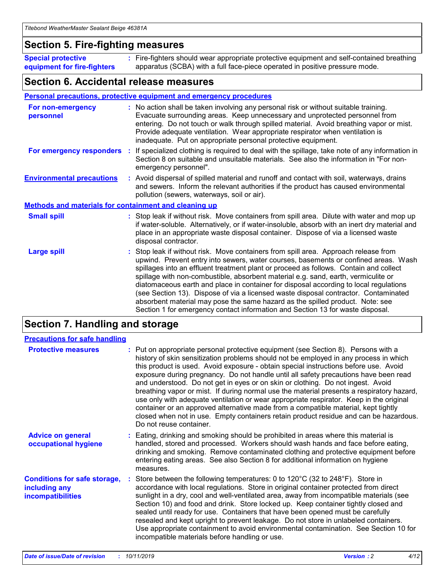### **Section 5. Fire-fighting measures**

**Special protective equipment for fire-fighters** Fire-fighters should wear appropriate protective equipment and self-contained breathing **:** apparatus (SCBA) with a full face-piece operated in positive pressure mode.

### **Section 6. Accidental release measures**

#### **Personal precautions, protective equipment and emergency procedures**

| For non-emergency<br>personnel                               | : No action shall be taken involving any personal risk or without suitable training.<br>Evacuate surrounding areas. Keep unnecessary and unprotected personnel from<br>entering. Do not touch or walk through spilled material. Avoid breathing vapor or mist.<br>Provide adequate ventilation. Wear appropriate respirator when ventilation is<br>inadequate. Put on appropriate personal protective equipment.                                                                                                                                                                                                                                                                                             |
|--------------------------------------------------------------|--------------------------------------------------------------------------------------------------------------------------------------------------------------------------------------------------------------------------------------------------------------------------------------------------------------------------------------------------------------------------------------------------------------------------------------------------------------------------------------------------------------------------------------------------------------------------------------------------------------------------------------------------------------------------------------------------------------|
|                                                              | For emergency responders : If specialized clothing is required to deal with the spillage, take note of any information in<br>Section 8 on suitable and unsuitable materials. See also the information in "For non-<br>emergency personnel".                                                                                                                                                                                                                                                                                                                                                                                                                                                                  |
| <b>Environmental precautions</b>                             | : Avoid dispersal of spilled material and runoff and contact with soil, waterways, drains<br>and sewers. Inform the relevant authorities if the product has caused environmental<br>pollution (sewers, waterways, soil or air).                                                                                                                                                                                                                                                                                                                                                                                                                                                                              |
| <b>Methods and materials for containment and cleaning up</b> |                                                                                                                                                                                                                                                                                                                                                                                                                                                                                                                                                                                                                                                                                                              |
| <b>Small spill</b>                                           | : Stop leak if without risk. Move containers from spill area. Dilute with water and mop up<br>if water-soluble. Alternatively, or if water-insoluble, absorb with an inert dry material and<br>place in an appropriate waste disposal container. Dispose of via a licensed waste<br>disposal contractor.                                                                                                                                                                                                                                                                                                                                                                                                     |
| <b>Large spill</b>                                           | : Stop leak if without risk. Move containers from spill area. Approach release from<br>upwind. Prevent entry into sewers, water courses, basements or confined areas. Wash<br>spillages into an effluent treatment plant or proceed as follows. Contain and collect<br>spillage with non-combustible, absorbent material e.g. sand, earth, vermiculite or<br>diatomaceous earth and place in container for disposal according to local regulations<br>(see Section 13). Dispose of via a licensed waste disposal contractor. Contaminated<br>absorbent material may pose the same hazard as the spilled product. Note: see<br>Section 1 for emergency contact information and Section 13 for waste disposal. |

### **Section 7. Handling and storage**

| <b>Precautions for safe handling</b>                                             |                                                                                                                                                                                                                                                                                                                                                                                                                                                                                                                                                                                                                                                                                                                                                                                                                                                  |
|----------------------------------------------------------------------------------|--------------------------------------------------------------------------------------------------------------------------------------------------------------------------------------------------------------------------------------------------------------------------------------------------------------------------------------------------------------------------------------------------------------------------------------------------------------------------------------------------------------------------------------------------------------------------------------------------------------------------------------------------------------------------------------------------------------------------------------------------------------------------------------------------------------------------------------------------|
| <b>Protective measures</b>                                                       | : Put on appropriate personal protective equipment (see Section 8). Persons with a<br>history of skin sensitization problems should not be employed in any process in which<br>this product is used. Avoid exposure - obtain special instructions before use. Avoid<br>exposure during pregnancy. Do not handle until all safety precautions have been read<br>and understood. Do not get in eyes or on skin or clothing. Do not ingest. Avoid<br>breathing vapor or mist. If during normal use the material presents a respiratory hazard,<br>use only with adequate ventilation or wear appropriate respirator. Keep in the original<br>container or an approved alternative made from a compatible material, kept tightly<br>closed when not in use. Empty containers retain product residue and can be hazardous.<br>Do not reuse container. |
| <b>Advice on general</b><br>occupational hygiene                                 | : Eating, drinking and smoking should be prohibited in areas where this material is<br>handled, stored and processed. Workers should wash hands and face before eating,<br>drinking and smoking. Remove contaminated clothing and protective equipment before<br>entering eating areas. See also Section 8 for additional information on hygiene<br>measures.                                                                                                                                                                                                                                                                                                                                                                                                                                                                                    |
| <b>Conditions for safe storage,</b><br>including any<br><b>incompatibilities</b> | Store between the following temperatures: 0 to $120^{\circ}$ C (32 to $248^{\circ}$ F). Store in<br>accordance with local regulations. Store in original container protected from direct<br>sunlight in a dry, cool and well-ventilated area, away from incompatible materials (see<br>Section 10) and food and drink. Store locked up. Keep container tightly closed and<br>sealed until ready for use. Containers that have been opened must be carefully<br>resealed and kept upright to prevent leakage. Do not store in unlabeled containers.<br>Use appropriate containment to avoid environmental contamination. See Section 10 for<br>incompatible materials before handling or use.                                                                                                                                                     |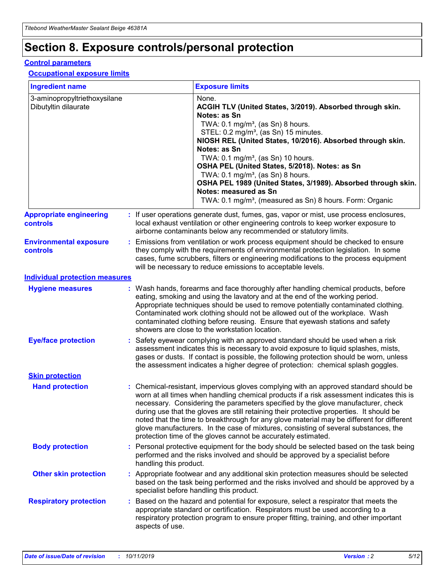## **Section 8. Exposure controls/personal protection**

#### **Control parameters**

#### **Occupational exposure limits**

| <b>Ingredient name</b>                               |    |                                          | <b>Exposure limits</b>                                                                                                                                                                                                                                                                                                                                                                                                                                                                                                                                                                                                 |
|------------------------------------------------------|----|------------------------------------------|------------------------------------------------------------------------------------------------------------------------------------------------------------------------------------------------------------------------------------------------------------------------------------------------------------------------------------------------------------------------------------------------------------------------------------------------------------------------------------------------------------------------------------------------------------------------------------------------------------------------|
| 3-aminopropyltriethoxysilane<br>Dibutyltin dilaurate |    |                                          | None.<br>ACGIH TLV (United States, 3/2019). Absorbed through skin.<br>Notes: as Sn<br>TWA: 0.1 mg/m <sup>3</sup> , (as Sn) 8 hours.<br>STEL: 0.2 mg/m <sup>3</sup> , (as Sn) 15 minutes.<br>NIOSH REL (United States, 10/2016). Absorbed through skin.<br>Notes: as Sn<br>TWA: 0.1 mg/m <sup>3</sup> , (as Sn) 10 hours.<br>OSHA PEL (United States, 5/2018). Notes: as Sn<br>TWA: $0.1 \text{ mg/m}^3$ , (as Sn) 8 hours.<br>OSHA PEL 1989 (United States, 3/1989). Absorbed through skin.<br>Notes: measured as Sn<br>TWA: 0.1 mg/m <sup>3</sup> , (measured as Sn) 8 hours. Form: Organic                           |
| <b>Appropriate engineering</b><br>controls           |    |                                          | : If user operations generate dust, fumes, gas, vapor or mist, use process enclosures,<br>local exhaust ventilation or other engineering controls to keep worker exposure to<br>airborne contaminants below any recommended or statutory limits.                                                                                                                                                                                                                                                                                                                                                                       |
| <b>Environmental exposure</b><br><b>controls</b>     |    |                                          | Emissions from ventilation or work process equipment should be checked to ensure<br>they comply with the requirements of environmental protection legislation. In some<br>cases, fume scrubbers, filters or engineering modifications to the process equipment<br>will be necessary to reduce emissions to acceptable levels.                                                                                                                                                                                                                                                                                          |
| <b>Individual protection measures</b>                |    |                                          |                                                                                                                                                                                                                                                                                                                                                                                                                                                                                                                                                                                                                        |
| <b>Hygiene measures</b>                              |    |                                          | : Wash hands, forearms and face thoroughly after handling chemical products, before<br>eating, smoking and using the lavatory and at the end of the working period.<br>Appropriate techniques should be used to remove potentially contaminated clothing.<br>Contaminated work clothing should not be allowed out of the workplace. Wash<br>contaminated clothing before reusing. Ensure that eyewash stations and safety<br>showers are close to the workstation location.                                                                                                                                            |
| <b>Eye/face protection</b>                           |    |                                          | : Safety eyewear complying with an approved standard should be used when a risk<br>assessment indicates this is necessary to avoid exposure to liquid splashes, mists,<br>gases or dusts. If contact is possible, the following protection should be worn, unless<br>the assessment indicates a higher degree of protection: chemical splash goggles.                                                                                                                                                                                                                                                                  |
| <b>Skin protection</b>                               |    |                                          |                                                                                                                                                                                                                                                                                                                                                                                                                                                                                                                                                                                                                        |
| <b>Hand protection</b>                               |    |                                          | : Chemical-resistant, impervious gloves complying with an approved standard should be<br>worn at all times when handling chemical products if a risk assessment indicates this is<br>necessary. Considering the parameters specified by the glove manufacturer, check<br>during use that the gloves are still retaining their protective properties. It should be<br>noted that the time to breakthrough for any glove material may be different for different<br>glove manufacturers. In the case of mixtures, consisting of several substances, the<br>protection time of the gloves cannot be accurately estimated. |
| <b>Body protection</b>                               |    | handling this product.                   | Personal protective equipment for the body should be selected based on the task being<br>performed and the risks involved and should be approved by a specialist before                                                                                                                                                                                                                                                                                                                                                                                                                                                |
| <b>Other skin protection</b>                         |    | specialist before handling this product. | : Appropriate footwear and any additional skin protection measures should be selected<br>based on the task being performed and the risks involved and should be approved by a                                                                                                                                                                                                                                                                                                                                                                                                                                          |
| <b>Respiratory protection</b>                        | ÷. | aspects of use.                          | Based on the hazard and potential for exposure, select a respirator that meets the<br>appropriate standard or certification. Respirators must be used according to a<br>respiratory protection program to ensure proper fitting, training, and other important                                                                                                                                                                                                                                                                                                                                                         |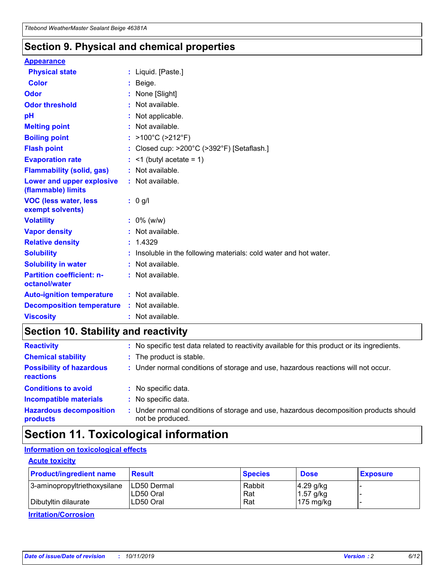### **Section 9. Physical and chemical properties**

#### **Appearance**

| <b>Physical state</b>                             | : Liquid. [Paste.]                                              |
|---------------------------------------------------|-----------------------------------------------------------------|
| Color                                             | Beige.                                                          |
| Odor                                              | None [Slight]                                                   |
| <b>Odor threshold</b>                             | : Not available.                                                |
| рH                                                | : Not applicable.                                               |
| <b>Melting point</b>                              | : Not available.                                                |
| <b>Boiling point</b>                              | : >100°C (>212°F)                                               |
| <b>Flash point</b>                                | : Closed cup: $>200^{\circ}$ C ( $>392^{\circ}$ F) [Setaflash.] |
| <b>Evaporation rate</b>                           | $:$ <1 (butyl acetate = 1)                                      |
| <b>Flammability (solid, gas)</b>                  | : Not available.                                                |
| Lower and upper explosive<br>(flammable) limits   | : Not available.                                                |
| <b>VOC (less water, less</b><br>exempt solvents)  | : 0 g/l                                                         |
| <b>Volatility</b>                                 | $: 0\%$ (w/w)                                                   |
| <b>Vapor density</b>                              | : Not available.                                                |
| <b>Relative density</b>                           | : 1.4329                                                        |
| <b>Solubility</b>                                 | Insoluble in the following materials: cold water and hot water. |
| <b>Solubility in water</b>                        | : Not available.                                                |
| <b>Partition coefficient: n-</b><br>octanol/water | $:$ Not available.                                              |
| <b>Auto-ignition temperature</b>                  | : Not available.                                                |
|                                                   |                                                                 |
| <b>Decomposition temperature</b>                  | : Not available.                                                |

### **Section 10. Stability and reactivity**

| <b>Reactivity</b>                            |    | : No specific test data related to reactivity available for this product or its ingredients.            |
|----------------------------------------------|----|---------------------------------------------------------------------------------------------------------|
| <b>Chemical stability</b>                    |    | : The product is stable.                                                                                |
| <b>Possibility of hazardous</b><br>reactions |    | : Under normal conditions of storage and use, hazardous reactions will not occur.                       |
| <b>Conditions to avoid</b>                   |    | : No specific data.                                                                                     |
| <b>Incompatible materials</b>                | ٠. | No specific data.                                                                                       |
| <b>Hazardous decomposition</b><br>products   | ÷. | Under normal conditions of storage and use, hazardous decomposition products should<br>not be produced. |

### **Section 11. Toxicological information**

### **Information on toxicological effects**

#### **Acute toxicity**

| <b>Product/ingredient name</b> | <b>Result</b>           | <b>Species</b> | <b>Dose</b>                | <b>Exposure</b> |
|--------------------------------|-------------------------|----------------|----------------------------|-----------------|
| 3-aminopropyltriethoxysilane   | <b>ILD50 Dermal</b>     | Rabbit         | 4.29 g/kg                  |                 |
| Dibutyltin dilaurate           | ILD50 Oral<br>LD50 Oral | Rat<br>Rat     | $1.57$ g/kg<br>175 $mg/kg$ |                 |
|                                |                         |                |                            |                 |

**Irritation/Corrosion**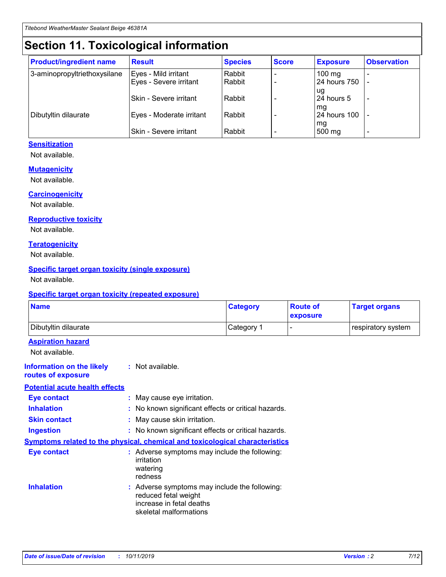## **Section 11. Toxicological information**

| <b>Product/ingredient name</b> | <b>Result</b>            | <b>Species</b> | <b>Score</b> | <b>Exposure</b>           | <b>Observation</b> |
|--------------------------------|--------------------------|----------------|--------------|---------------------------|--------------------|
| 3-aminopropyltriethoxysilane   | Eyes - Mild irritant     | Rabbit         |              | $100$ mg                  |                    |
|                                | Eyes - Severe irritant   | Rabbit         |              | 24 hours 750              |                    |
|                                |                          |                |              | ug                        |                    |
|                                | Skin - Severe irritant   | Rabbit         |              | 24 hours 5                | -                  |
| Dibutyltin dilaurate           | Eyes - Moderate irritant | Rabbit         |              | mg<br><b>24 hours 100</b> |                    |
|                                |                          |                |              | mg                        |                    |
|                                | Skin - Severe irritant   | Rabbit         |              | 500 mg                    | -                  |

### **Sensitization**

Not available.

#### **Mutagenicity**

Not available.

#### **Carcinogenicity**

Not available.

#### **Reproductive toxicity**

Not available.

#### **Teratogenicity**

Not available.

#### **Specific target organ toxicity (single exposure)**

Not available.

#### **Specific target organ toxicity (repeated exposure)**

| <b>Name</b>                                                                  |                                                                            | <b>Category</b>                                     | <b>Route of</b><br>exposure | <b>Target organs</b> |
|------------------------------------------------------------------------------|----------------------------------------------------------------------------|-----------------------------------------------------|-----------------------------|----------------------|
| Dibutyltin dilaurate                                                         |                                                                            | Category 1                                          | -                           | respiratory system   |
| <b>Aspiration hazard</b><br>Not available.                                   |                                                                            |                                                     |                             |                      |
| <b>Information on the likely</b><br>routes of exposure                       | : Not available.                                                           |                                                     |                             |                      |
| <b>Potential acute health effects</b>                                        |                                                                            |                                                     |                             |                      |
| <b>Eye contact</b>                                                           | : May cause eye irritation.                                                |                                                     |                             |                      |
| <b>Inhalation</b>                                                            |                                                                            | : No known significant effects or critical hazards. |                             |                      |
| <b>Skin contact</b>                                                          | : May cause skin irritation.                                               |                                                     |                             |                      |
| <b>Ingestion</b>                                                             |                                                                            | : No known significant effects or critical hazards. |                             |                      |
| Symptoms related to the physical, chemical and toxicological characteristics |                                                                            |                                                     |                             |                      |
| <b>Eye contact</b>                                                           | irritation<br>watering<br>redness                                          | : Adverse symptoms may include the following:       |                             |                      |
| <b>Inhalation</b>                                                            | reduced fetal weight<br>increase in fetal deaths<br>skeletal malformations | : Adverse symptoms may include the following:       |                             |                      |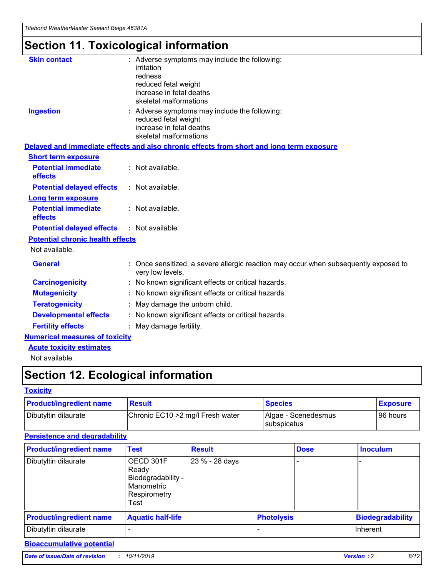## **Section 11. Toxicological information**

| <b>Skin contact</b>                     | : Adverse symptoms may include the following:                                                                               |  |
|-----------------------------------------|-----------------------------------------------------------------------------------------------------------------------------|--|
|                                         | irritation                                                                                                                  |  |
|                                         | redness<br>reduced fetal weight                                                                                             |  |
|                                         | increase in fetal deaths                                                                                                    |  |
|                                         | skeletal malformations                                                                                                      |  |
| <b>Ingestion</b>                        | : Adverse symptoms may include the following:<br>reduced fetal weight<br>increase in fetal deaths<br>skeletal malformations |  |
|                                         | Delayed and immediate effects and also chronic effects from short and long term exposure                                    |  |
| <b>Short term exposure</b>              |                                                                                                                             |  |
| <b>Potential immediate</b><br>effects   | : Not available.                                                                                                            |  |
| <b>Potential delayed effects</b>        | : Not available.                                                                                                            |  |
| <b>Long term exposure</b>               |                                                                                                                             |  |
| <b>Potential immediate</b><br>effects   | : Not available.                                                                                                            |  |
| <b>Potential delayed effects</b>        | : Not available.                                                                                                            |  |
| <b>Potential chronic health effects</b> |                                                                                                                             |  |
| Not available.                          |                                                                                                                             |  |
| <b>General</b>                          | : Once sensitized, a severe allergic reaction may occur when subsequently exposed to<br>very low levels.                    |  |
| <b>Carcinogenicity</b>                  | : No known significant effects or critical hazards.                                                                         |  |
| <b>Mutagenicity</b>                     | : No known significant effects or critical hazards.                                                                         |  |
| <b>Teratogenicity</b>                   | May damage the unborn child.                                                                                                |  |
| <b>Developmental effects</b>            | : No known significant effects or critical hazards.                                                                         |  |
| <b>Fertility effects</b>                | May damage fertility.                                                                                                       |  |
| <b>Numerical measures of toxicity</b>   |                                                                                                                             |  |
| <b>Acute toxicity estimates</b>         |                                                                                                                             |  |
| الملحلة والمستحيط والمسالم              |                                                                                                                             |  |

Not available.

## **Section 12. Ecological information**

#### **Toxicity**

| <b>Product/ingredient name</b> | <b>Result</b>                     | <b>Species</b>                       | <b>Exposure</b> |
|--------------------------------|-----------------------------------|--------------------------------------|-----------------|
| Dibutyltin dilaurate           | Chronic EC10 > 2 mg/l Fresh water | Algae - Scenedesmus<br>I subspicatus | l 96 hours i    |

### **Persistence and degradability**

| <b>Product/ingredient name</b> | <b>Test</b>                                                                    | <b>Result</b>  |                   | <b>Dose</b> | <b>Inoculum</b>         |
|--------------------------------|--------------------------------------------------------------------------------|----------------|-------------------|-------------|-------------------------|
| Dibutyltin dilaurate           | OECD 301F<br>Ready<br>Biodegradability -<br>Manometric<br>Respirometry<br>Test | 23 % - 28 days |                   |             |                         |
| <b>Product/ingredient name</b> | <b>Aquatic half-life</b>                                                       |                | <b>Photolysis</b> |             | <b>Biodegradability</b> |
| Dibutyltin dilaurate           |                                                                                |                |                   |             | Inherent                |

### **Bioaccumulative potential**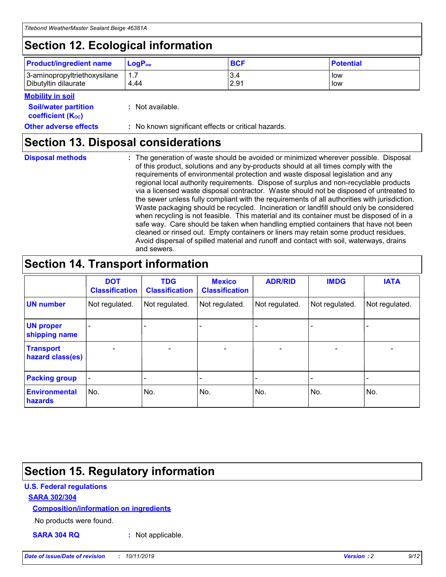## **Section 12. Ecological information**

| <b>Product/ingredient name</b> | $LoaPow$ | <b>BCF</b> | <b>Potential</b> |
|--------------------------------|----------|------------|------------------|
| 3-aminopropyltriethoxysilane   | 1.7      | 3.4        | low              |
| Dibutyltin dilaurate           | 4.44     | 2.91       | low              |

#### **Mobility in soil**

| <b>Soil/water partition</b><br>coefficient (K <sub>oc</sub> ) | : Not available.                                    |
|---------------------------------------------------------------|-----------------------------------------------------|
| <b>Other adverse effects</b>                                  | : No known significant effects or critical hazards. |

### **Section 13. Disposal considerations**

**Disposal methods :**

The generation of waste should be avoided or minimized wherever possible. Disposal of this product, solutions and any by-products should at all times comply with the requirements of environmental protection and waste disposal legislation and any regional local authority requirements. Dispose of surplus and non-recyclable products via a licensed waste disposal contractor. Waste should not be disposed of untreated to the sewer unless fully compliant with the requirements of all authorities with jurisdiction. Waste packaging should be recycled. Incineration or landfill should only be considered when recycling is not feasible. This material and its container must be disposed of in a safe way. Care should be taken when handling emptied containers that have not been cleaned or rinsed out. Empty containers or liners may retain some product residues. Avoid dispersal of spilled material and runoff and contact with soil, waterways, drains and sewers.

## **Section 14. Transport information**

|                                      | <b>DOT</b><br><b>Classification</b> | <b>TDG</b><br><b>Classification</b> | <b>Mexico</b><br><b>Classification</b> | <b>ADR/RID</b> | <b>IMDG</b>              | <b>IATA</b>              |
|--------------------------------------|-------------------------------------|-------------------------------------|----------------------------------------|----------------|--------------------------|--------------------------|
| <b>UN number</b>                     | Not regulated.                      | Not regulated.                      | Not regulated.                         | Not regulated. | Not regulated.           | Not regulated.           |
| <b>UN proper</b><br>shipping name    | $\blacksquare$                      |                                     |                                        |                |                          |                          |
| <b>Transport</b><br>hazard class(es) | $\blacksquare$                      | $\overline{\phantom{a}}$            | $\blacksquare$                         | $\blacksquare$ | $\overline{\phantom{a}}$ | $\overline{\phantom{0}}$ |
| <b>Packing group</b>                 | $\overline{\phantom{a}}$            | $\overline{\phantom{0}}$            | $\overline{\phantom{a}}$               | -              | $\overline{\phantom{0}}$ | $\overline{\phantom{a}}$ |
| <b>Environmental</b><br>hazards      | No.                                 | No.                                 | No.                                    | No.            | No.                      | No.                      |

## **Section 15. Regulatory information**

#### **U.S. Federal regulations**

#### **SARA 302/304**

#### **Composition/information on ingredients**

No products were found.

**SARA 304 RQ :** Not applicable.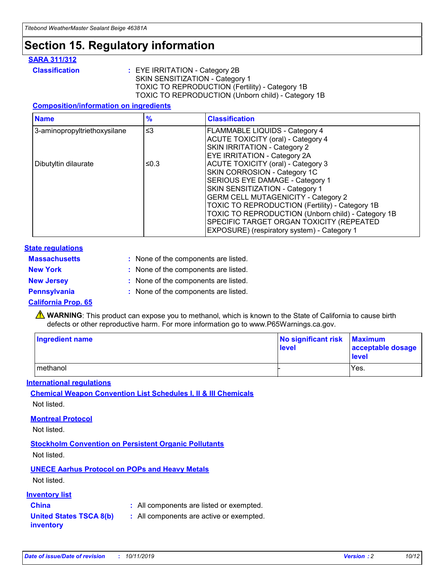### **Section 15. Regulatory information**

#### **SARA 311/312**

**Classification :** EYE IRRITATION - Category 2B SKIN SENSITIZATION - Category 1 TOXIC TO REPRODUCTION (Fertility) - Category 1B TOXIC TO REPRODUCTION (Unborn child) - Category 1B

#### **Composition/information on ingredients**

| <b>Name</b>                  | $\frac{9}{6}$ | <b>Classification</b>                                                                                            |
|------------------------------|---------------|------------------------------------------------------------------------------------------------------------------|
| 3-aminopropyltriethoxysilane | $\leq$ 3      | <b>FLAMMABLE LIQUIDS - Category 4</b><br><b>ACUTE TOXICITY (oral) - Category 4</b>                               |
|                              |               | SKIN IRRITATION - Category 2<br>EYE IRRITATION - Category 2A                                                     |
| Dibutyltin dilaurate         | ≤0.3          | ACUTE TOXICITY (oral) - Category 3<br>SKIN CORROSION - Category 1C                                               |
|                              |               | SERIOUS EYE DAMAGE - Category 1<br>SKIN SENSITIZATION - Category 1<br><b>GERM CELL MUTAGENICITY - Category 2</b> |
|                              |               | TOXIC TO REPRODUCTION (Fertility) - Category 1B<br>TOXIC TO REPRODUCTION (Unborn child) - Category 1B            |
|                              |               | SPECIFIC TARGET ORGAN TOXICITY (REPEATED<br>EXPOSURE) (respiratory system) - Category 1                          |

#### **State regulations**

| <b>Massachusetts</b> | : None of the components are listed. |
|----------------------|--------------------------------------|
| <b>New York</b>      | : None of the components are listed. |
| <b>New Jersey</b>    | : None of the components are listed. |
| <b>Pennsylvania</b>  | : None of the components are listed. |

#### **California Prop. 65**

**A** WARNING: This product can expose you to methanol, which is known to the State of California to cause birth defects or other reproductive harm. For more information go to www.P65Warnings.ca.gov.

| <b>Ingredient name</b> | No significant risk Maximum<br>level | acceptable dosage<br>level |
|------------------------|--------------------------------------|----------------------------|
| methanol               |                                      | Yes.                       |

#### **International regulations**

**Chemical Weapon Convention List Schedules I, II & III Chemicals** Not listed.

#### **Montreal Protocol**

Not listed.

#### **Stockholm Convention on Persistent Organic Pollutants**

Not listed.

### **UNECE Aarhus Protocol on POPs and Heavy Metals**

Not listed.

#### **Inventory list**

### **China :** All components are listed or exempted.

**United States TSCA 8(b) inventory :** All components are active or exempted.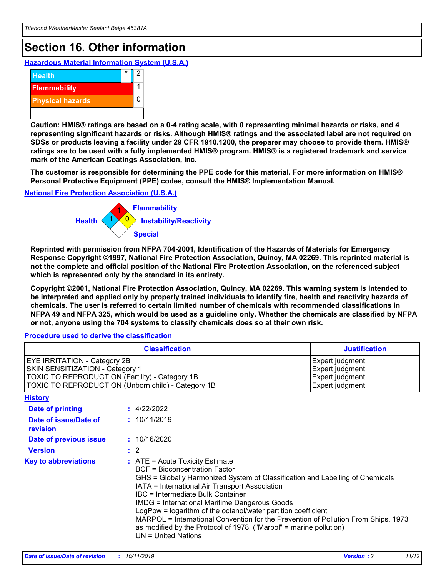## **Section 16. Other information**

**Hazardous Material Information System (U.S.A.)**



**Caution: HMIS® ratings are based on a 0-4 rating scale, with 0 representing minimal hazards or risks, and 4 representing significant hazards or risks. Although HMIS® ratings and the associated label are not required on SDSs or products leaving a facility under 29 CFR 1910.1200, the preparer may choose to provide them. HMIS® ratings are to be used with a fully implemented HMIS® program. HMIS® is a registered trademark and service mark of the American Coatings Association, Inc.**

**The customer is responsible for determining the PPE code for this material. For more information on HMIS® Personal Protective Equipment (PPE) codes, consult the HMIS® Implementation Manual.**

#### **National Fire Protection Association (U.S.A.)**



**Reprinted with permission from NFPA 704-2001, Identification of the Hazards of Materials for Emergency Response Copyright ©1997, National Fire Protection Association, Quincy, MA 02269. This reprinted material is not the complete and official position of the National Fire Protection Association, on the referenced subject which is represented only by the standard in its entirety.**

**Copyright ©2001, National Fire Protection Association, Quincy, MA 02269. This warning system is intended to be interpreted and applied only by properly trained individuals to identify fire, health and reactivity hazards of chemicals. The user is referred to certain limited number of chemicals with recommended classifications in NFPA 49 and NFPA 325, which would be used as a guideline only. Whether the chemicals are classified by NFPA or not, anyone using the 704 systems to classify chemicals does so at their own risk.**

**Procedure used to derive the classification**

| <b>Classification</b>                                                                                                                                                    |                                                                                                                                                                                                           | <b>Justification</b>                                                                                                                                                                                                                                                                                                                                               |  |
|--------------------------------------------------------------------------------------------------------------------------------------------------------------------------|-----------------------------------------------------------------------------------------------------------------------------------------------------------------------------------------------------------|--------------------------------------------------------------------------------------------------------------------------------------------------------------------------------------------------------------------------------------------------------------------------------------------------------------------------------------------------------------------|--|
| EYE IRRITATION - Category 2B<br>SKIN SENSITIZATION - Category 1<br>TOXIC TO REPRODUCTION (Fertility) - Category 1B<br>TOXIC TO REPRODUCTION (Unborn child) - Category 1B |                                                                                                                                                                                                           | Expert judgment<br>Expert judgment<br>Expert judgment<br>Expert judgment                                                                                                                                                                                                                                                                                           |  |
| <b>History</b>                                                                                                                                                           |                                                                                                                                                                                                           |                                                                                                                                                                                                                                                                                                                                                                    |  |
| Date of printing                                                                                                                                                         | : 4/22/2022                                                                                                                                                                                               |                                                                                                                                                                                                                                                                                                                                                                    |  |
| Date of issue/Date of<br>revision                                                                                                                                        | : 10/11/2019                                                                                                                                                                                              |                                                                                                                                                                                                                                                                                                                                                                    |  |
| Date of previous issue                                                                                                                                                   | : 10/16/2020                                                                                                                                                                                              |                                                                                                                                                                                                                                                                                                                                                                    |  |
| <b>Version</b>                                                                                                                                                           | $\therefore$ 2                                                                                                                                                                                            |                                                                                                                                                                                                                                                                                                                                                                    |  |
| <b>Key to abbreviations</b>                                                                                                                                              | $\therefore$ ATE = Acute Toxicity Estimate<br><b>BCF</b> = Bioconcentration Factor<br>IATA = International Air Transport Association<br><b>IBC</b> = Intermediate Bulk Container<br>$UN = United Nations$ | GHS = Globally Harmonized System of Classification and Labelling of Chemicals<br><b>IMDG = International Maritime Dangerous Goods</b><br>LogPow = logarithm of the octanol/water partition coefficient<br>MARPOL = International Convention for the Prevention of Pollution From Ships, 1973<br>as modified by the Protocol of 1978. ("Marpol" = marine pollution) |  |